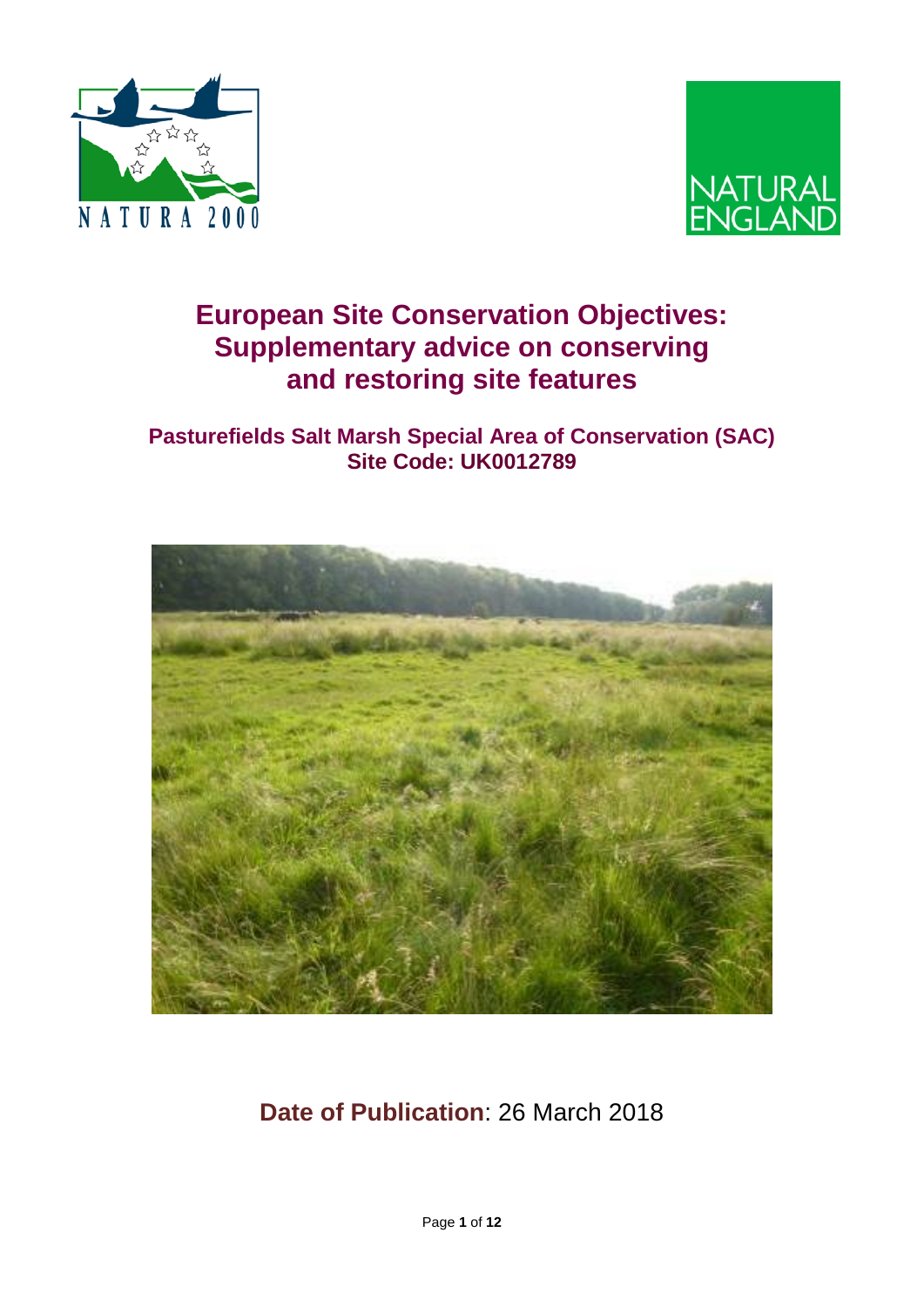



# **European Site Conservation Objectives: Supplementary advice on conserving and restoring site features**

### **Pasturefields Salt Marsh Special Area of Conservation (SAC) Site Code: UK0012789**



# **Date of Publication**: 26 March 2018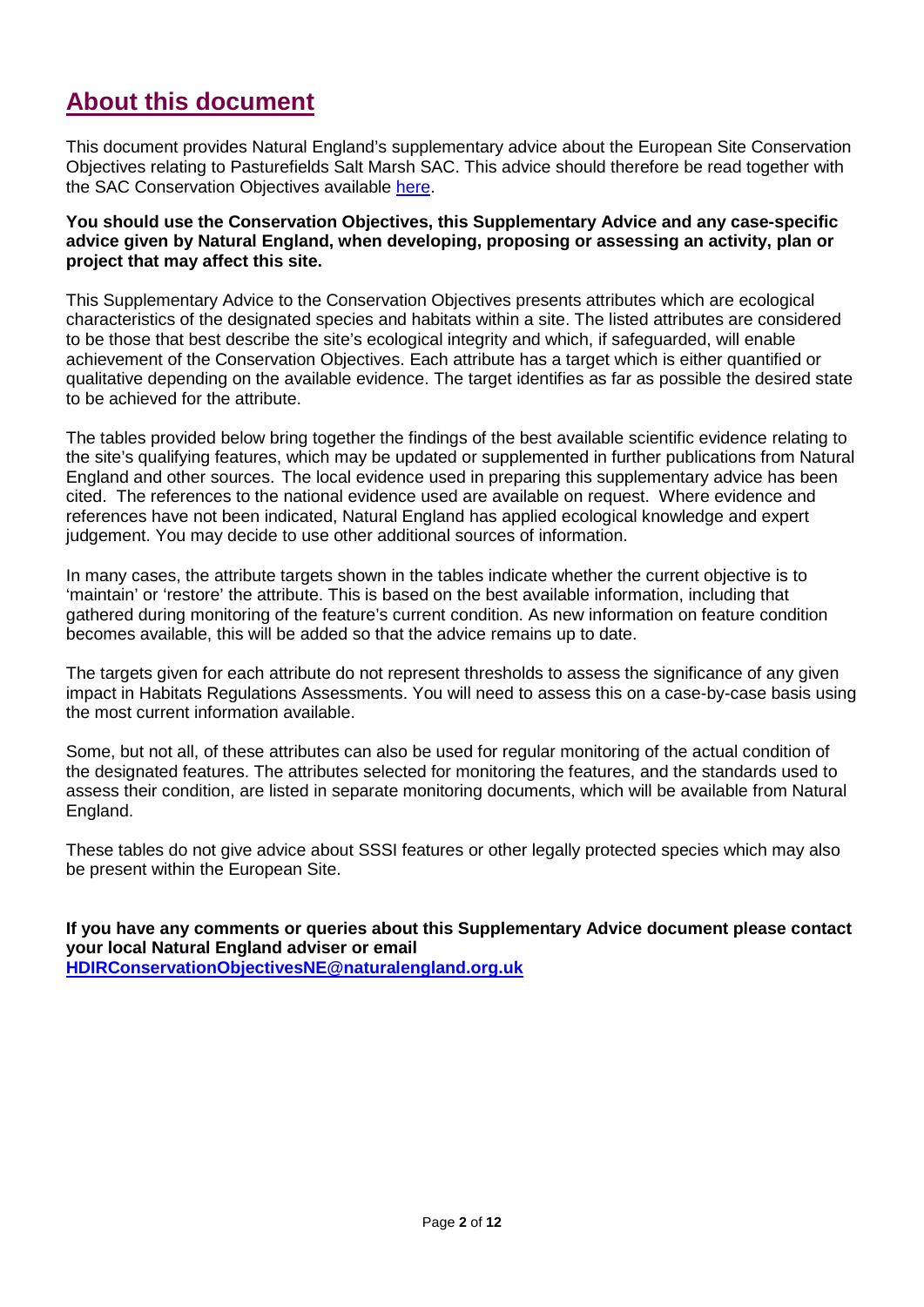### **About this document**

This document provides Natural England's supplementary advice about the European Site Conservation Objectives relating to Pasturefields Salt Marsh SAC. This advice should therefore be read together with the SAC Conservation Objectives available [here.](http://publications.naturalengland.org.uk/publication/6292877810335744)

**You should use the Conservation Objectives, this Supplementary Advice and any case-specific advice given by Natural England, when developing, proposing or assessing an activity, plan or project that may affect this site.**

This Supplementary Advice to the Conservation Objectives presents attributes which are ecological characteristics of the designated species and habitats within a site. The listed attributes are considered to be those that best describe the site's ecological integrity and which, if safeguarded, will enable achievement of the Conservation Objectives. Each attribute has a target which is either quantified or qualitative depending on the available evidence. The target identifies as far as possible the desired state to be achieved for the attribute.

The tables provided below bring together the findings of the best available scientific evidence relating to the site's qualifying features, which may be updated or supplemented in further publications from Natural England and other sources. The local evidence used in preparing this supplementary advice has been cited. The references to the national evidence used are available on request. Where evidence and references have not been indicated, Natural England has applied ecological knowledge and expert judgement. You may decide to use other additional sources of information.

In many cases, the attribute targets shown in the tables indicate whether the current objective is to 'maintain' or 'restore' the attribute. This is based on the best available information, including that gathered during monitoring of the feature's current condition. As new information on feature condition becomes available, this will be added so that the advice remains up to date.

The targets given for each attribute do not represent thresholds to assess the significance of any given impact in Habitats Regulations Assessments. You will need to assess this on a case-by-case basis using the most current information available.

Some, but not all, of these attributes can also be used for regular monitoring of the actual condition of the designated features. The attributes selected for monitoring the features, and the standards used to assess their condition, are listed in separate monitoring documents, which will be available from Natural England.

These tables do not give advice about SSSI features or other legally protected species which may also be present within the European Site.

**If you have any comments or queries about this Supplementary Advice document please contact your local Natural England adviser or email [HDIRConservationObjectivesNE@naturalengland.org.uk](mailto:HDIRConservationObjectivesNE@naturalengland.org.uk)**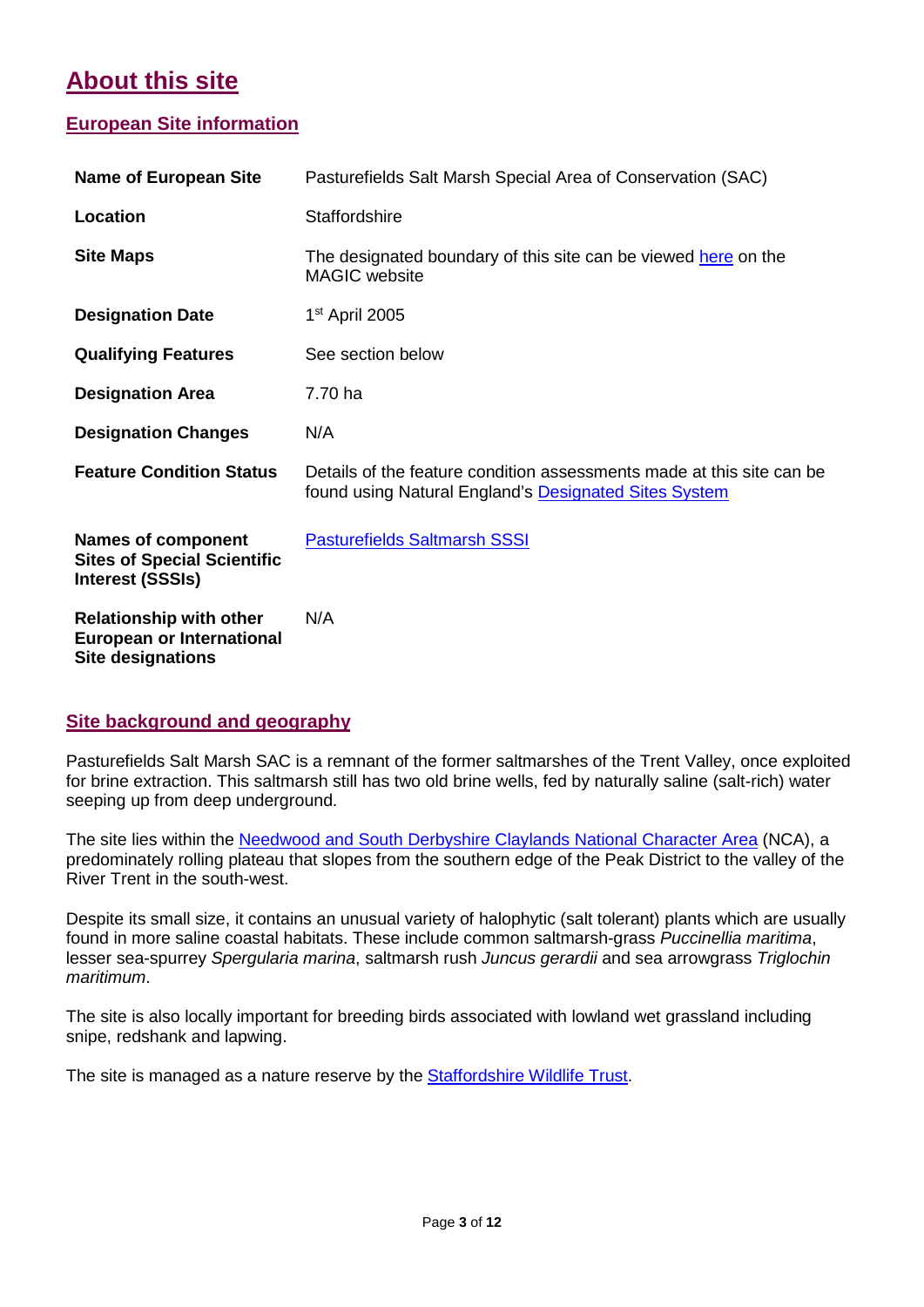## **About this site**

#### **European Site information**

| <b>Name of European Site</b>                                                                   | Pasturefields Salt Marsh Special Area of Conservation (SAC)                                                                    |
|------------------------------------------------------------------------------------------------|--------------------------------------------------------------------------------------------------------------------------------|
| Location                                                                                       | <b>Staffordshire</b>                                                                                                           |
| <b>Site Maps</b>                                                                               | The designated boundary of this site can be viewed here on the<br><b>MAGIC</b> website                                         |
| <b>Designation Date</b>                                                                        | 1 <sup>st</sup> April 2005                                                                                                     |
| <b>Qualifying Features</b>                                                                     | See section below                                                                                                              |
| <b>Designation Area</b>                                                                        | 7.70 ha                                                                                                                        |
| <b>Designation Changes</b>                                                                     | N/A                                                                                                                            |
| <b>Feature Condition Status</b>                                                                | Details of the feature condition assessments made at this site can be<br>found using Natural England's Designated Sites System |
| <b>Names of component</b><br><b>Sites of Special Scientific</b><br><b>Interest (SSSIs)</b>     | <b>Pasturefields Saltmarsh SSSI</b>                                                                                            |
| <b>Relationship with other</b><br><b>European or International</b><br><b>Site designations</b> | N/A                                                                                                                            |

#### **Site background and geography**

Pasturefields Salt Marsh SAC is a remnant of the former saltmarshes of the Trent Valley, once exploited for brine extraction. This saltmarsh still has two old brine wells, fed by naturally saline (salt-rich) water seeping up from deep underground.

The site lies within the [Needwood and South Derbyshire Claylands National Character Area](http://publications.naturalengland.org.uk/publication/4492587) (NCA), a predominately rolling plateau that slopes from the southern edge of the Peak District to the valley of the River Trent in the south-west.

Despite its small size, it contains an unusual variety of halophytic (salt tolerant) plants which are usually found in more saline coastal habitats. These include common saltmarsh-grass *Puccinellia maritima*, lesser sea-spurrey *Spergularia marina*, saltmarsh rush *Juncus gerardii* and sea arrowgrass *Triglochin maritimum*.

The site is also locally important for breeding birds associated with lowland wet grassland including snipe, redshank and lapwing.

The site is managed as a nature reserve by the **Staffordshire Wildlife Trust.**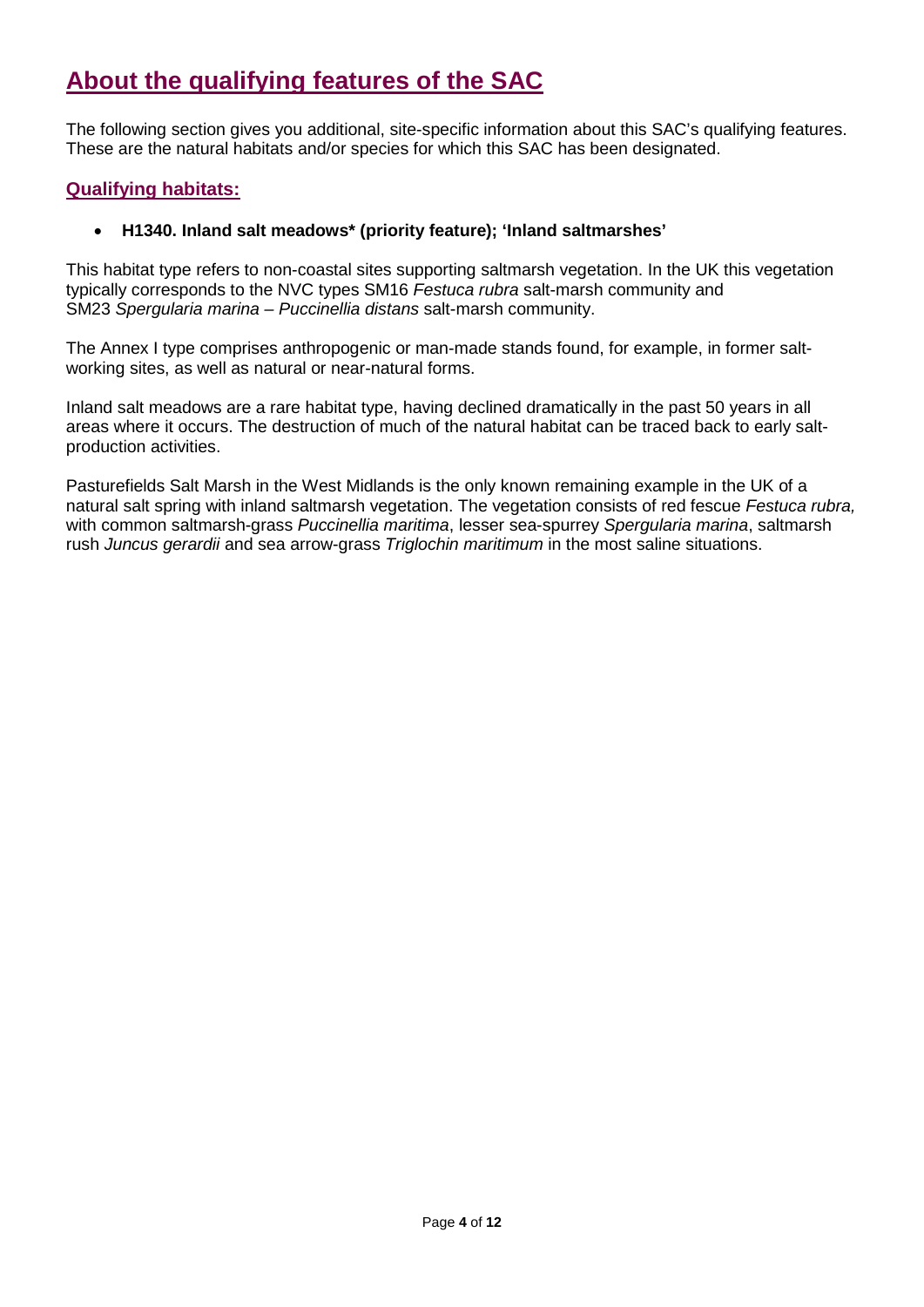## **About the qualifying features of the SAC**

The following section gives you additional, site-specific information about this SAC's qualifying features. These are the natural habitats and/or species for which this SAC has been designated.

#### **Qualifying habitats:**

#### • **H1340. Inland salt meadows\* (priority feature); 'Inland saltmarshes'**

This habitat type refers to non-coastal sites supporting saltmarsh vegetation. In the UK this vegetation typically corresponds to the NVC types SM16 *Festuca rubra* salt-marsh community and SM23 *Spergularia marina – Puccinellia distans* salt-marsh community.

The Annex I type comprises anthropogenic or man-made stands found, for example, in former saltworking sites, as well as natural or near-natural forms.

Inland salt meadows are a rare habitat type, having declined dramatically in the past 50 years in all areas where it occurs. The destruction of much of the natural habitat can be traced back to early saltproduction activities.

Pasturefields Salt Marsh in the West Midlands is the only known remaining example in the UK of a natural salt spring with inland saltmarsh vegetation. The vegetation consists of red fescue *Festuca rubra,* with common saltmarsh-grass *Puccinellia maritima*, lesser sea-spurrey *Spergularia marina*, saltmarsh rush *Juncus gerardii* and sea arrow-grass *Triglochin maritimum* in the most saline situations.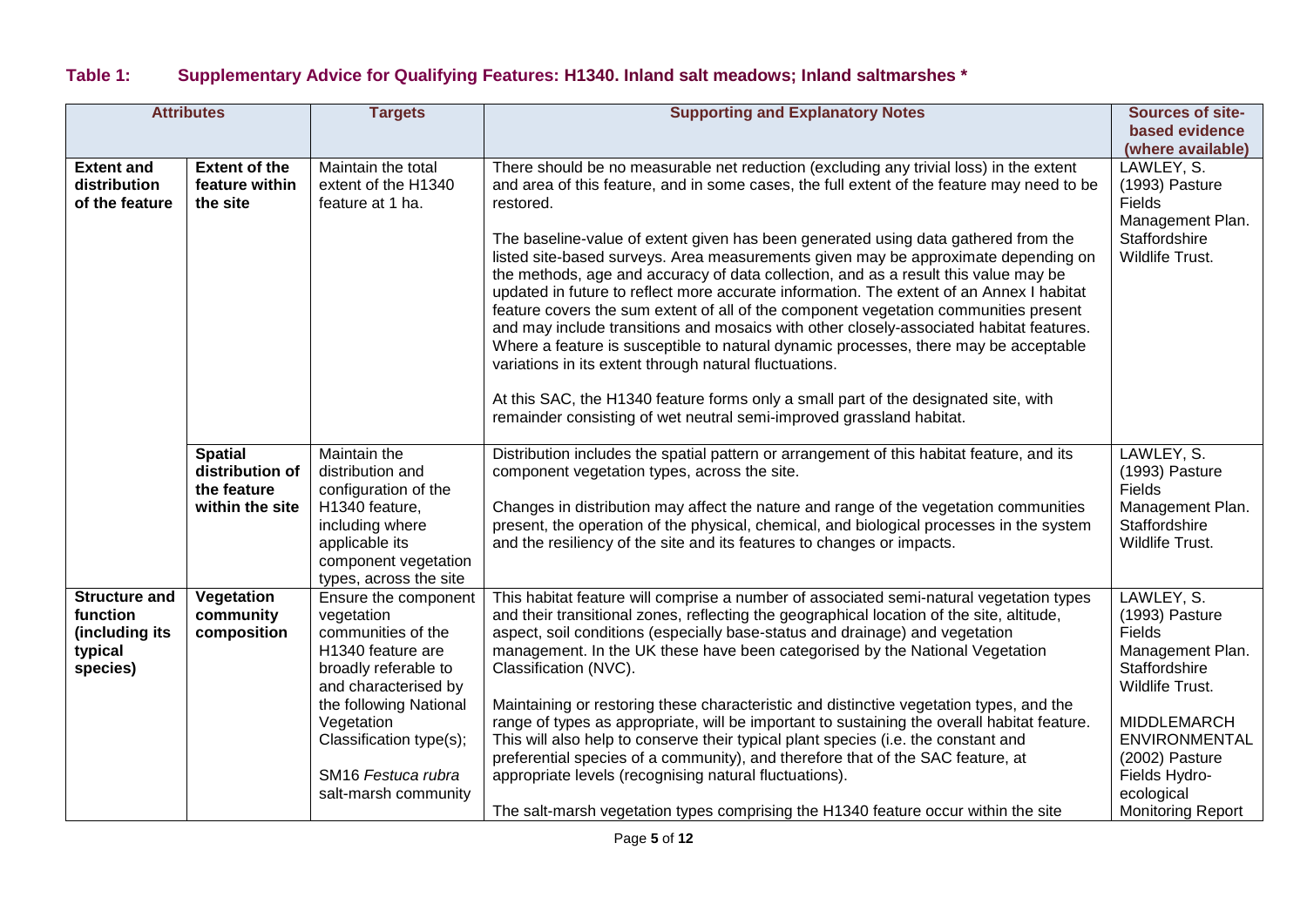### **Table 1: Supplementary Advice for Qualifying Features: H1340. Inland salt meadows; Inland saltmarshes \***

|                                                                           | <b>Attributes</b>                                                   | <b>Targets</b>                                                                                                                                                                                                         | <b>Supporting and Explanatory Notes</b>                                                                                                                                                                                                                                                                                                                                                                                                                                                                                                                                                                                                                                                                                                                                                                                                                                                                                                                                                                                                                              | Sources of site-                                                                                                                                                      |
|---------------------------------------------------------------------------|---------------------------------------------------------------------|------------------------------------------------------------------------------------------------------------------------------------------------------------------------------------------------------------------------|----------------------------------------------------------------------------------------------------------------------------------------------------------------------------------------------------------------------------------------------------------------------------------------------------------------------------------------------------------------------------------------------------------------------------------------------------------------------------------------------------------------------------------------------------------------------------------------------------------------------------------------------------------------------------------------------------------------------------------------------------------------------------------------------------------------------------------------------------------------------------------------------------------------------------------------------------------------------------------------------------------------------------------------------------------------------|-----------------------------------------------------------------------------------------------------------------------------------------------------------------------|
|                                                                           |                                                                     |                                                                                                                                                                                                                        |                                                                                                                                                                                                                                                                                                                                                                                                                                                                                                                                                                                                                                                                                                                                                                                                                                                                                                                                                                                                                                                                      | based evidence<br>(where available)                                                                                                                                   |
| <b>Extent and</b><br>distribution<br>of the feature                       | <b>Extent of the</b><br>feature within<br>the site                  | Maintain the total<br>extent of the H1340<br>feature at 1 ha.                                                                                                                                                          | There should be no measurable net reduction (excluding any trivial loss) in the extent<br>and area of this feature, and in some cases, the full extent of the feature may need to be<br>restored.<br>The baseline-value of extent given has been generated using data gathered from the<br>listed site-based surveys. Area measurements given may be approximate depending on<br>the methods, age and accuracy of data collection, and as a result this value may be<br>updated in future to reflect more accurate information. The extent of an Annex I habitat<br>feature covers the sum extent of all of the component vegetation communities present<br>and may include transitions and mosaics with other closely-associated habitat features.<br>Where a feature is susceptible to natural dynamic processes, there may be acceptable<br>variations in its extent through natural fluctuations.<br>At this SAC, the H1340 feature forms only a small part of the designated site, with<br>remainder consisting of wet neutral semi-improved grassland habitat. | LAWLEY, S.<br>(1993) Pasture<br>Fields<br>Management Plan.<br>Staffordshire<br>Wildlife Trust.                                                                        |
|                                                                           | <b>Spatial</b><br>distribution of<br>the feature<br>within the site | Maintain the<br>distribution and<br>configuration of the<br>H1340 feature,<br>including where<br>applicable its<br>component vegetation<br>types, across the site                                                      | Distribution includes the spatial pattern or arrangement of this habitat feature, and its<br>component vegetation types, across the site.<br>Changes in distribution may affect the nature and range of the vegetation communities<br>present, the operation of the physical, chemical, and biological processes in the system<br>and the resiliency of the site and its features to changes or impacts.                                                                                                                                                                                                                                                                                                                                                                                                                                                                                                                                                                                                                                                             | LAWLEY, S.<br>(1993) Pasture<br>Fields<br>Management Plan.<br>Staffordshire<br>Wildlife Trust.                                                                        |
| <b>Structure and</b><br>function<br>(including its<br>typical<br>species) | Vegetation<br>community<br>composition                              | Ensure the component<br>vegetation<br>communities of the<br>H1340 feature are<br>broadly referable to<br>and characterised by<br>the following National<br>Vegetation<br>Classification type(s);<br>SM16 Festuca rubra | This habitat feature will comprise a number of associated semi-natural vegetation types<br>and their transitional zones, reflecting the geographical location of the site, altitude,<br>aspect, soil conditions (especially base-status and drainage) and vegetation<br>management. In the UK these have been categorised by the National Vegetation<br>Classification (NVC).<br>Maintaining or restoring these characteristic and distinctive vegetation types, and the<br>range of types as appropriate, will be important to sustaining the overall habitat feature.<br>This will also help to conserve their typical plant species (i.e. the constant and<br>preferential species of a community), and therefore that of the SAC feature, at                                                                                                                                                                                                                                                                                                                     | LAWLEY, S.<br>(1993) Pasture<br><b>Fields</b><br>Management Plan.<br>Staffordshire<br>Wildlife Trust.<br><b>MIDDLEMARCH</b><br><b>ENVIRONMENTAL</b><br>(2002) Pasture |
|                                                                           |                                                                     | salt-marsh community                                                                                                                                                                                                   | appropriate levels (recognising natural fluctuations).<br>The salt-marsh vegetation types comprising the H1340 feature occur within the site                                                                                                                                                                                                                                                                                                                                                                                                                                                                                                                                                                                                                                                                                                                                                                                                                                                                                                                         | Fields Hydro-<br>ecological<br><b>Monitoring Report</b>                                                                                                               |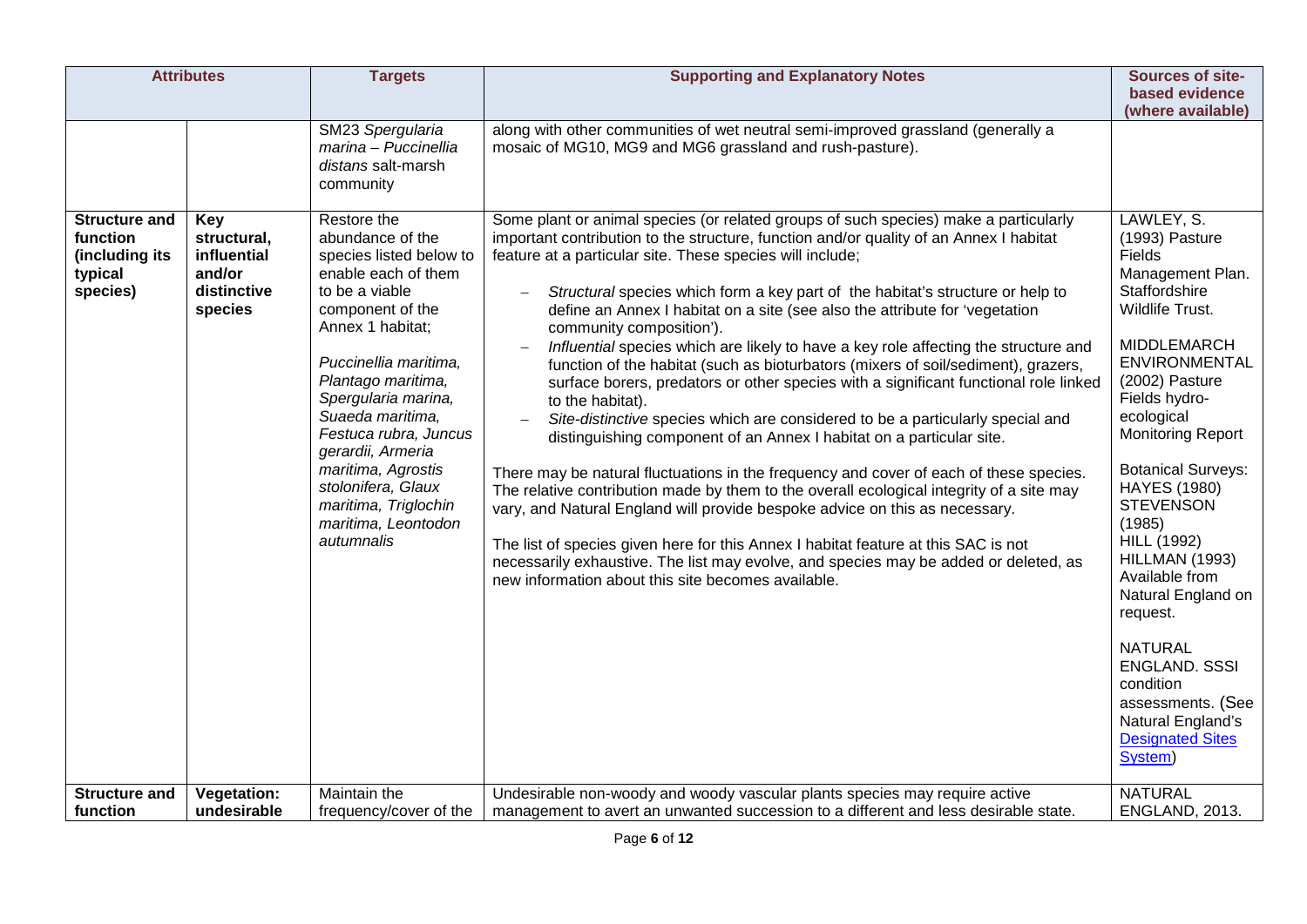| <b>Attributes</b>                                                         |                                                                       | <b>Targets</b>                                                                                                                                                                                                                                                                                                                                                                               | <b>Supporting and Explanatory Notes</b>                                                                                                                                                                                                                                                                                                                                                                                                                                                                                                                                                                                                                                                                                                                                                                                                                                                                                                                                                                                                                                                                                                                                                                                                                                                                                                                                                                                         | Sources of site-                                                                                                                                                                                                                                                                                                                                                                                                                                                                                                                               |
|---------------------------------------------------------------------------|-----------------------------------------------------------------------|----------------------------------------------------------------------------------------------------------------------------------------------------------------------------------------------------------------------------------------------------------------------------------------------------------------------------------------------------------------------------------------------|---------------------------------------------------------------------------------------------------------------------------------------------------------------------------------------------------------------------------------------------------------------------------------------------------------------------------------------------------------------------------------------------------------------------------------------------------------------------------------------------------------------------------------------------------------------------------------------------------------------------------------------------------------------------------------------------------------------------------------------------------------------------------------------------------------------------------------------------------------------------------------------------------------------------------------------------------------------------------------------------------------------------------------------------------------------------------------------------------------------------------------------------------------------------------------------------------------------------------------------------------------------------------------------------------------------------------------------------------------------------------------------------------------------------------------|------------------------------------------------------------------------------------------------------------------------------------------------------------------------------------------------------------------------------------------------------------------------------------------------------------------------------------------------------------------------------------------------------------------------------------------------------------------------------------------------------------------------------------------------|
|                                                                           |                                                                       |                                                                                                                                                                                                                                                                                                                                                                                              |                                                                                                                                                                                                                                                                                                                                                                                                                                                                                                                                                                                                                                                                                                                                                                                                                                                                                                                                                                                                                                                                                                                                                                                                                                                                                                                                                                                                                                 | based evidence                                                                                                                                                                                                                                                                                                                                                                                                                                                                                                                                 |
|                                                                           |                                                                       | SM23 Spergularia<br>marina - Puccinellia<br>distans salt-marsh<br>community                                                                                                                                                                                                                                                                                                                  | along with other communities of wet neutral semi-improved grassland (generally a<br>mosaic of MG10, MG9 and MG6 grassland and rush-pasture).                                                                                                                                                                                                                                                                                                                                                                                                                                                                                                                                                                                                                                                                                                                                                                                                                                                                                                                                                                                                                                                                                                                                                                                                                                                                                    | (where available)                                                                                                                                                                                                                                                                                                                                                                                                                                                                                                                              |
| <b>Structure and</b><br>function<br>(including its<br>typical<br>species) | Key<br>structural,<br>influential<br>and/or<br>distinctive<br>species | Restore the<br>abundance of the<br>species listed below to<br>enable each of them<br>to be a viable<br>component of the<br>Annex 1 habitat;<br>Puccinellia maritima,<br>Plantago maritima,<br>Spergularia marina,<br>Suaeda maritima.<br>Festuca rubra, Juncus<br>gerardii, Armeria<br>maritima, Agrostis<br>stolonifera, Glaux<br>maritima, Triglochin<br>maritima, Leontodon<br>autumnalis | Some plant or animal species (or related groups of such species) make a particularly<br>important contribution to the structure, function and/or quality of an Annex I habitat<br>feature at a particular site. These species will include;<br>Structural species which form a key part of the habitat's structure or help to<br>define an Annex I habitat on a site (see also the attribute for 'vegetation<br>community composition').<br>Influential species which are likely to have a key role affecting the structure and<br>function of the habitat (such as bioturbators (mixers of soil/sediment), grazers,<br>surface borers, predators or other species with a significant functional role linked<br>to the habitat).<br>Site-distinctive species which are considered to be a particularly special and<br>$\overline{\phantom{0}}$<br>distinguishing component of an Annex I habitat on a particular site.<br>There may be natural fluctuations in the frequency and cover of each of these species.<br>The relative contribution made by them to the overall ecological integrity of a site may<br>vary, and Natural England will provide bespoke advice on this as necessary.<br>The list of species given here for this Annex I habitat feature at this SAC is not<br>necessarily exhaustive. The list may evolve, and species may be added or deleted, as<br>new information about this site becomes available. | LAWLEY, S.<br>(1993) Pasture<br>Fields<br>Management Plan.<br>Staffordshire<br>Wildlife Trust.<br><b>MIDDLEMARCH</b><br><b>ENVIRONMENTAL</b><br>(2002) Pasture<br>Fields hydro-<br>ecological<br><b>Monitoring Report</b><br><b>Botanical Surveys:</b><br><b>HAYES (1980)</b><br><b>STEVENSON</b><br>(1985)<br><b>HILL (1992)</b><br>HILLMAN (1993)<br>Available from<br>Natural England on<br>request.<br><b>NATURAL</b><br><b>ENGLAND. SSSI</b><br>condition<br>assessments. (See<br>Natural England's<br><b>Designated Sites</b><br>System) |
| <b>Structure and</b><br>function                                          | <b>Vegetation:</b><br>undesirable                                     | Maintain the<br>frequency/cover of the                                                                                                                                                                                                                                                                                                                                                       | Undesirable non-woody and woody vascular plants species may require active<br>management to avert an unwanted succession to a different and less desirable state.                                                                                                                                                                                                                                                                                                                                                                                                                                                                                                                                                                                                                                                                                                                                                                                                                                                                                                                                                                                                                                                                                                                                                                                                                                                               | <b>NATURAL</b><br>ENGLAND, 2013.                                                                                                                                                                                                                                                                                                                                                                                                                                                                                                               |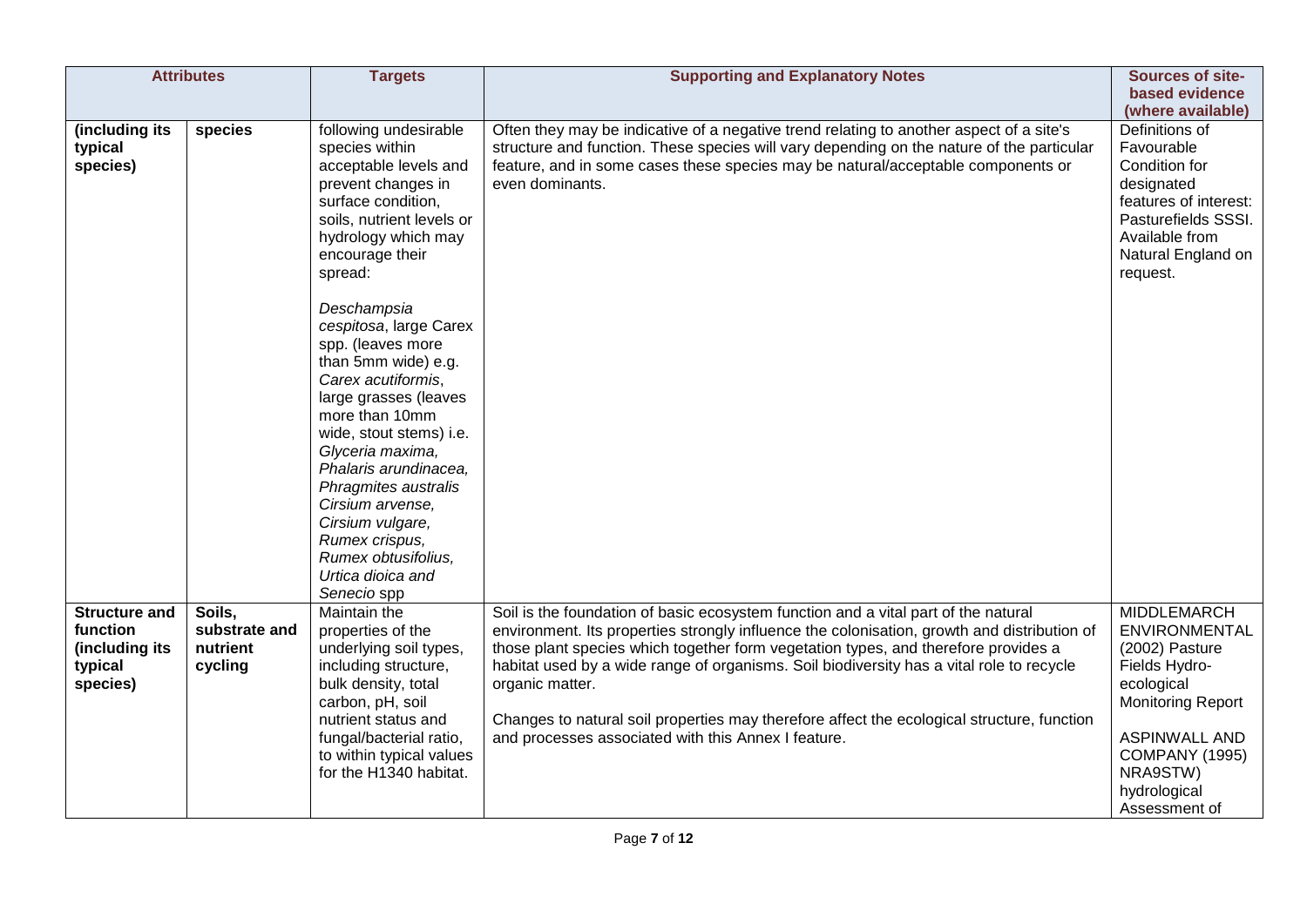|                                                                           | <b>Attributes</b>                              | <b>Targets</b>                                                                                                                                                                                                                                                                                                                                                                                                                                                                                                                                                            | <b>Supporting and Explanatory Notes</b>                                                                                                                                                                                                                                                                                                                                                                                                                                                                                                     | Sources of site-                                                                                                                                                                                                      |
|---------------------------------------------------------------------------|------------------------------------------------|---------------------------------------------------------------------------------------------------------------------------------------------------------------------------------------------------------------------------------------------------------------------------------------------------------------------------------------------------------------------------------------------------------------------------------------------------------------------------------------------------------------------------------------------------------------------------|---------------------------------------------------------------------------------------------------------------------------------------------------------------------------------------------------------------------------------------------------------------------------------------------------------------------------------------------------------------------------------------------------------------------------------------------------------------------------------------------------------------------------------------------|-----------------------------------------------------------------------------------------------------------------------------------------------------------------------------------------------------------------------|
|                                                                           |                                                |                                                                                                                                                                                                                                                                                                                                                                                                                                                                                                                                                                           |                                                                                                                                                                                                                                                                                                                                                                                                                                                                                                                                             | based evidence<br>(where available)                                                                                                                                                                                   |
| (including its<br>typical<br>species)                                     | species                                        | following undesirable<br>species within<br>acceptable levels and<br>prevent changes in<br>surface condition,<br>soils, nutrient levels or<br>hydrology which may<br>encourage their<br>spread:<br>Deschampsia<br>cespitosa, large Carex<br>spp. (leaves more<br>than 5mm wide) e.g.<br>Carex acutiformis,<br>large grasses (leaves<br>more than 10mm<br>wide, stout stems) i.e.<br>Glyceria maxima,<br>Phalaris arundinacea,<br>Phragmites australis<br>Cirsium arvense,<br>Cirsium vulgare,<br>Rumex crispus,<br>Rumex obtusifolius,<br>Urtica dioica and<br>Senecio spp | Often they may be indicative of a negative trend relating to another aspect of a site's<br>structure and function. These species will vary depending on the nature of the particular<br>feature, and in some cases these species may be natural/acceptable components or<br>even dominants.                                                                                                                                                                                                                                                 | Definitions of<br>Favourable<br>Condition for<br>designated<br>features of interest:<br>Pasturefields SSSI.<br>Available from<br>Natural England on<br>request.                                                       |
| <b>Structure and</b><br>function<br>(including its<br>typical<br>species) | Soils.<br>substrate and<br>nutrient<br>cycling | Maintain the<br>properties of the<br>underlying soil types,<br>including structure,<br>bulk density, total<br>carbon, pH, soil<br>nutrient status and<br>fungal/bacterial ratio,<br>to within typical values<br>for the H1340 habitat.                                                                                                                                                                                                                                                                                                                                    | Soil is the foundation of basic ecosystem function and a vital part of the natural<br>environment. Its properties strongly influence the colonisation, growth and distribution of<br>those plant species which together form vegetation types, and therefore provides a<br>habitat used by a wide range of organisms. Soil biodiversity has a vital role to recycle<br>organic matter.<br>Changes to natural soil properties may therefore affect the ecological structure, function<br>and processes associated with this Annex I feature. | <b>MIDDLEMARCH</b><br><b>ENVIRONMENTAL</b><br>(2002) Pasture<br>Fields Hydro-<br>ecological<br><b>Monitoring Report</b><br><b>ASPINWALL AND</b><br><b>COMPANY (1995)</b><br>NRA9STW)<br>hydrological<br>Assessment of |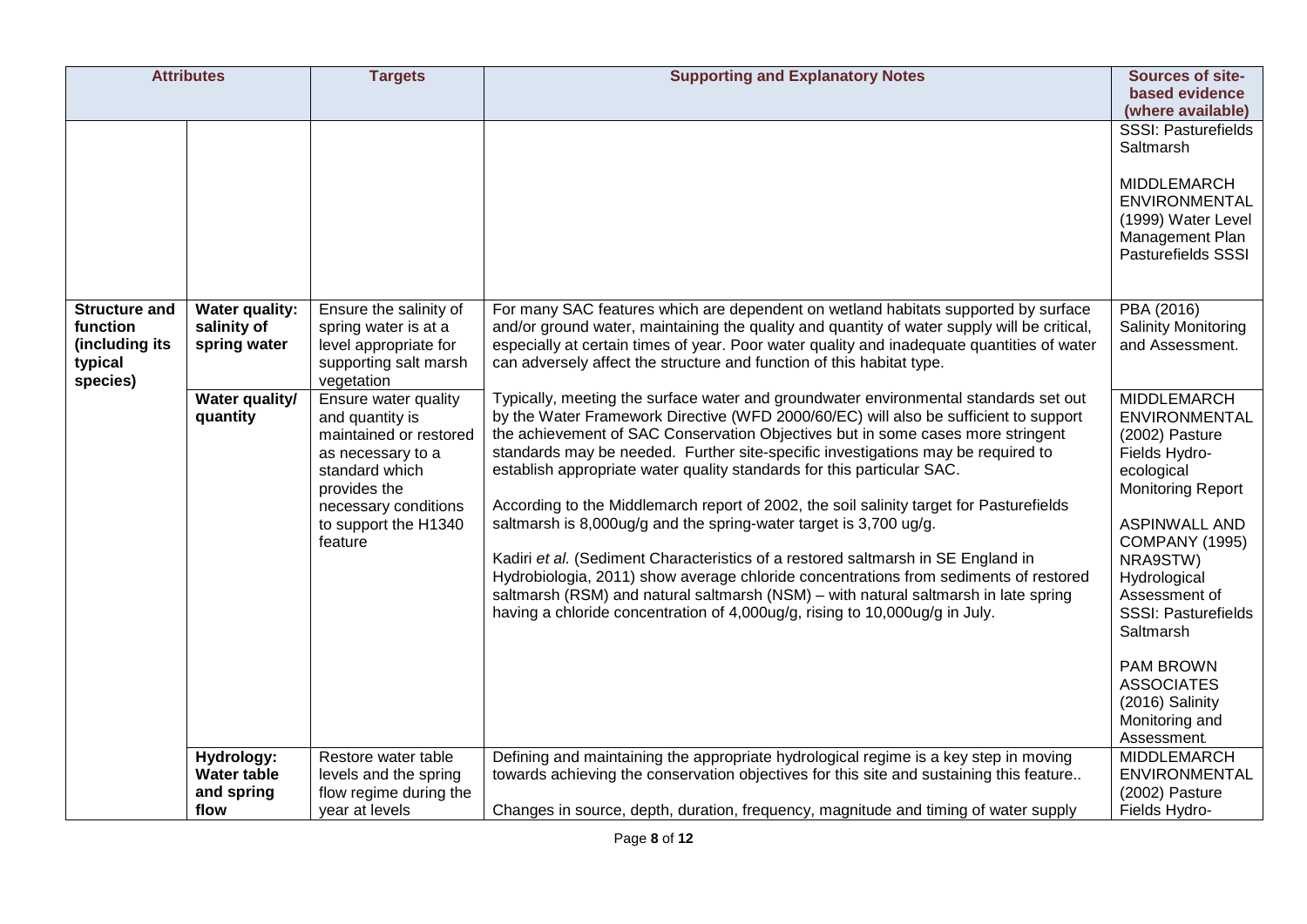| <b>Attributes</b>                                                         |                                               | <b>Targets</b>                                                                                                                                                                      | <b>Supporting and Explanatory Notes</b>                                                                                                                                                                                                                                                                                                                                                                                                                                                                                                                                                                                                                                                                                                                                                                                                                                                                                                         | Sources of site-                                                                                                                                                                                                                                                                                                                         |
|---------------------------------------------------------------------------|-----------------------------------------------|-------------------------------------------------------------------------------------------------------------------------------------------------------------------------------------|-------------------------------------------------------------------------------------------------------------------------------------------------------------------------------------------------------------------------------------------------------------------------------------------------------------------------------------------------------------------------------------------------------------------------------------------------------------------------------------------------------------------------------------------------------------------------------------------------------------------------------------------------------------------------------------------------------------------------------------------------------------------------------------------------------------------------------------------------------------------------------------------------------------------------------------------------|------------------------------------------------------------------------------------------------------------------------------------------------------------------------------------------------------------------------------------------------------------------------------------------------------------------------------------------|
|                                                                           |                                               |                                                                                                                                                                                     |                                                                                                                                                                                                                                                                                                                                                                                                                                                                                                                                                                                                                                                                                                                                                                                                                                                                                                                                                 | based evidence<br>(where available)                                                                                                                                                                                                                                                                                                      |
|                                                                           |                                               |                                                                                                                                                                                     |                                                                                                                                                                                                                                                                                                                                                                                                                                                                                                                                                                                                                                                                                                                                                                                                                                                                                                                                                 | <b>SSSI: Pasturefields</b><br>Saltmarsh<br>MIDDLEMARCH<br><b>ENVIRONMENTAL</b><br>(1999) Water Level<br>Management Plan<br>Pasturefields SSSI                                                                                                                                                                                            |
| <b>Structure and</b><br>function<br>(including its<br>typical<br>species) | Water quality:<br>salinity of<br>spring water | Ensure the salinity of<br>spring water is at a<br>level appropriate for<br>supporting salt marsh<br>vegetation                                                                      | For many SAC features which are dependent on wetland habitats supported by surface<br>and/or ground water, maintaining the quality and quantity of water supply will be critical,<br>especially at certain times of year. Poor water quality and inadequate quantities of water<br>can adversely affect the structure and function of this habitat type.                                                                                                                                                                                                                                                                                                                                                                                                                                                                                                                                                                                        | PBA (2016)<br><b>Salinity Monitoring</b><br>and Assessment.                                                                                                                                                                                                                                                                              |
|                                                                           | Water quality/<br>quantity                    | Ensure water quality<br>and quantity is<br>maintained or restored<br>as necessary to a<br>standard which<br>provides the<br>necessary conditions<br>to support the H1340<br>feature | Typically, meeting the surface water and groundwater environmental standards set out<br>by the Water Framework Directive (WFD 2000/60/EC) will also be sufficient to support<br>the achievement of SAC Conservation Objectives but in some cases more stringent<br>standards may be needed. Further site-specific investigations may be required to<br>establish appropriate water quality standards for this particular SAC.<br>According to the Middlemarch report of 2002, the soil salinity target for Pasturefields<br>saltmarsh is 8,000ug/g and the spring-water target is 3,700 ug/g.<br>Kadiri et al. (Sediment Characteristics of a restored saltmarsh in SE England in<br>Hydrobiologia, 2011) show average chloride concentrations from sediments of restored<br>saltmarsh (RSM) and natural saltmarsh (NSM) - with natural saltmarsh in late spring<br>having a chloride concentration of 4,000ug/g, rising to 10,000ug/g in July. | <b>MIDDLEMARCH</b><br>ENVIRONMENTAL<br>(2002) Pasture<br>Fields Hydro-<br>ecological<br><b>Monitoring Report</b><br><b>ASPINWALL AND</b><br>COMPANY (1995)<br>NRA9STW)<br>Hydrological<br>Assessment of<br>SSSI: Pasturefields<br>Saltmarsh<br><b>PAM BROWN</b><br><b>ASSOCIATES</b><br>(2016) Salinity<br>Monitoring and<br>Assessment. |
|                                                                           | Hydrology:                                    | Restore water table                                                                                                                                                                 | Defining and maintaining the appropriate hydrological regime is a key step in moving                                                                                                                                                                                                                                                                                                                                                                                                                                                                                                                                                                                                                                                                                                                                                                                                                                                            | <b>MIDDLEMARCH</b>                                                                                                                                                                                                                                                                                                                       |
|                                                                           | <b>Water table</b><br>and spring              | levels and the spring<br>flow regime during the                                                                                                                                     | towards achieving the conservation objectives for this site and sustaining this feature                                                                                                                                                                                                                                                                                                                                                                                                                                                                                                                                                                                                                                                                                                                                                                                                                                                         | ENVIRONMENTAL<br>(2002) Pasture                                                                                                                                                                                                                                                                                                          |
|                                                                           | flow                                          | year at levels                                                                                                                                                                      | Changes in source, depth, duration, frequency, magnitude and timing of water supply                                                                                                                                                                                                                                                                                                                                                                                                                                                                                                                                                                                                                                                                                                                                                                                                                                                             | Fields Hydro-                                                                                                                                                                                                                                                                                                                            |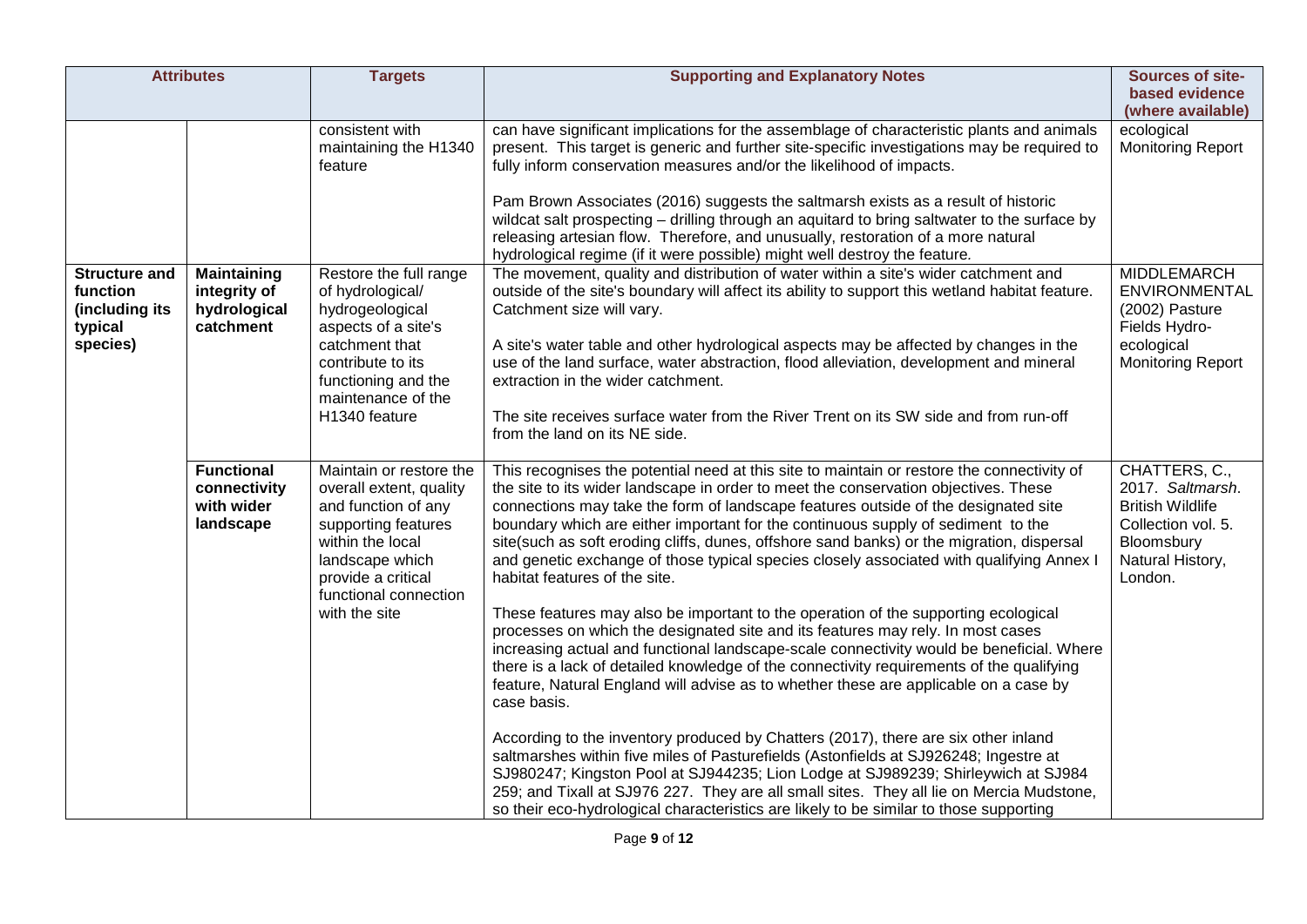| <b>Attributes</b>                                                         |                                                                 | <b>Targets</b>                                                                                                                                                                                          | <b>Supporting and Explanatory Notes</b>                                                                                                                                                                                                                                                                                                                                                                                                                                                                                                                                                                                                                                                                                                                                                                                                                                                                                                                                                                                                                                                                                                                                                                                                                                                                                                                                                                                                                                                                                | Sources of site-<br>based evidence                                                                                              |
|---------------------------------------------------------------------------|-----------------------------------------------------------------|---------------------------------------------------------------------------------------------------------------------------------------------------------------------------------------------------------|------------------------------------------------------------------------------------------------------------------------------------------------------------------------------------------------------------------------------------------------------------------------------------------------------------------------------------------------------------------------------------------------------------------------------------------------------------------------------------------------------------------------------------------------------------------------------------------------------------------------------------------------------------------------------------------------------------------------------------------------------------------------------------------------------------------------------------------------------------------------------------------------------------------------------------------------------------------------------------------------------------------------------------------------------------------------------------------------------------------------------------------------------------------------------------------------------------------------------------------------------------------------------------------------------------------------------------------------------------------------------------------------------------------------------------------------------------------------------------------------------------------------|---------------------------------------------------------------------------------------------------------------------------------|
|                                                                           |                                                                 |                                                                                                                                                                                                         |                                                                                                                                                                                                                                                                                                                                                                                                                                                                                                                                                                                                                                                                                                                                                                                                                                                                                                                                                                                                                                                                                                                                                                                                                                                                                                                                                                                                                                                                                                                        | (where available)                                                                                                               |
|                                                                           |                                                                 | consistent with<br>maintaining the H1340<br>feature                                                                                                                                                     | can have significant implications for the assemblage of characteristic plants and animals<br>present. This target is generic and further site-specific investigations may be required to<br>fully inform conservation measures and/or the likelihood of impacts.<br>Pam Brown Associates (2016) suggests the saltmarsh exists as a result of historic<br>wildcat salt prospecting - drilling through an aquitard to bring saltwater to the surface by<br>releasing artesian flow. Therefore, and unusually, restoration of a more natural<br>hydrological regime (if it were possible) might well destroy the feature.                                                                                                                                                                                                                                                                                                                                                                                                                                                                                                                                                                                                                                                                                                                                                                                                                                                                                                 | ecological<br><b>Monitoring Report</b>                                                                                          |
| <b>Structure and</b><br>function<br>(including its<br>typical<br>species) | <b>Maintaining</b><br>integrity of<br>hydrological<br>catchment | Restore the full range<br>of hydrological/<br>hydrogeological<br>aspects of a site's<br>catchment that<br>contribute to its<br>functioning and the<br>maintenance of the<br>H1340 feature               | The movement, quality and distribution of water within a site's wider catchment and<br>outside of the site's boundary will affect its ability to support this wetland habitat feature.<br>Catchment size will vary.<br>A site's water table and other hydrological aspects may be affected by changes in the<br>use of the land surface, water abstraction, flood alleviation, development and mineral<br>extraction in the wider catchment.<br>The site receives surface water from the River Trent on its SW side and from run-off<br>from the land on its NE side.                                                                                                                                                                                                                                                                                                                                                                                                                                                                                                                                                                                                                                                                                                                                                                                                                                                                                                                                                  | <b>MIDDLEMARCH</b><br>ENVIRONMENTAL<br>(2002) Pasture<br>Fields Hydro-<br>ecological<br><b>Monitoring Report</b>                |
|                                                                           | <b>Functional</b><br>connectivity<br>with wider<br>landscape    | Maintain or restore the<br>overall extent, quality<br>and function of any<br>supporting features<br>within the local<br>landscape which<br>provide a critical<br>functional connection<br>with the site | This recognises the potential need at this site to maintain or restore the connectivity of<br>the site to its wider landscape in order to meet the conservation objectives. These<br>connections may take the form of landscape features outside of the designated site<br>boundary which are either important for the continuous supply of sediment to the<br>site(such as soft eroding cliffs, dunes, offshore sand banks) or the migration, dispersal<br>and genetic exchange of those typical species closely associated with qualifying Annex I<br>habitat features of the site.<br>These features may also be important to the operation of the supporting ecological<br>processes on which the designated site and its features may rely. In most cases<br>increasing actual and functional landscape-scale connectivity would be beneficial. Where<br>there is a lack of detailed knowledge of the connectivity requirements of the qualifying<br>feature, Natural England will advise as to whether these are applicable on a case by<br>case basis.<br>According to the inventory produced by Chatters (2017), there are six other inland<br>saltmarshes within five miles of Pasturefields (Astonfields at SJ926248; Ingestre at<br>SJ980247; Kingston Pool at SJ944235; Lion Lodge at SJ989239; Shirleywich at SJ984<br>259; and Tixall at SJ976 227. They are all small sites. They all lie on Mercia Mudstone,<br>so their eco-hydrological characteristics are likely to be similar to those supporting | CHATTERS, C.,<br>2017. Saltmarsh.<br><b>British Wildlife</b><br>Collection vol. 5.<br>Bloomsbury<br>Natural History,<br>London. |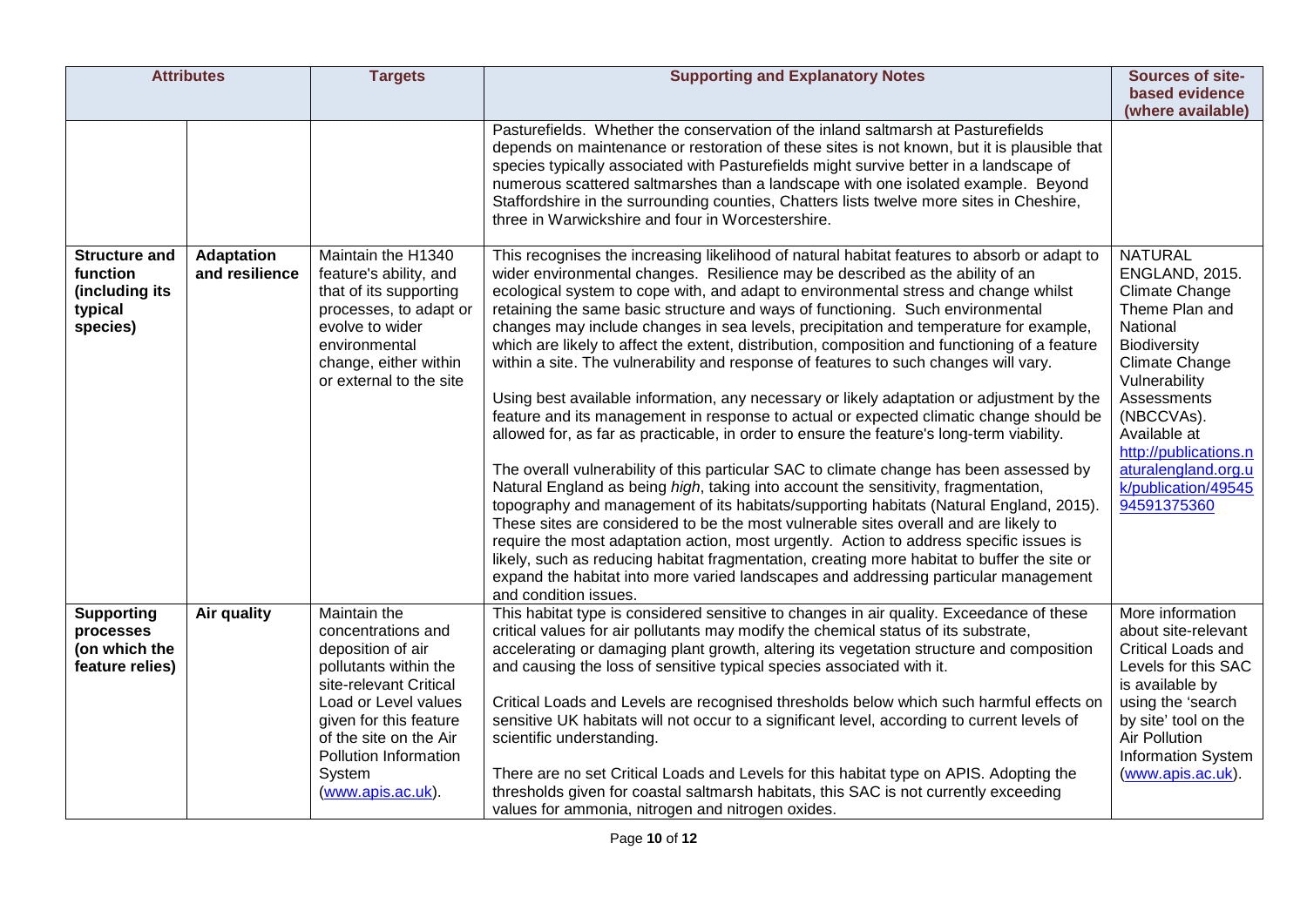| <b>Attributes</b>                                                         |                                     | <b>Targets</b>                                                                                                                                                                                                                                 | <b>Supporting and Explanatory Notes</b>                                                                                                                                                                                                                                                                                                                                                                                                                                                                                                                                                                                                                                                                                                                                                                                                                                                                                                                                                                                                                                                                                                                                                                                                                                                                                                                                                                                                                                                                                                                                                                  | Sources of site-                                                                                                                                                                                                                                                                     |
|---------------------------------------------------------------------------|-------------------------------------|------------------------------------------------------------------------------------------------------------------------------------------------------------------------------------------------------------------------------------------------|----------------------------------------------------------------------------------------------------------------------------------------------------------------------------------------------------------------------------------------------------------------------------------------------------------------------------------------------------------------------------------------------------------------------------------------------------------------------------------------------------------------------------------------------------------------------------------------------------------------------------------------------------------------------------------------------------------------------------------------------------------------------------------------------------------------------------------------------------------------------------------------------------------------------------------------------------------------------------------------------------------------------------------------------------------------------------------------------------------------------------------------------------------------------------------------------------------------------------------------------------------------------------------------------------------------------------------------------------------------------------------------------------------------------------------------------------------------------------------------------------------------------------------------------------------------------------------------------------------|--------------------------------------------------------------------------------------------------------------------------------------------------------------------------------------------------------------------------------------------------------------------------------------|
|                                                                           |                                     |                                                                                                                                                                                                                                                |                                                                                                                                                                                                                                                                                                                                                                                                                                                                                                                                                                                                                                                                                                                                                                                                                                                                                                                                                                                                                                                                                                                                                                                                                                                                                                                                                                                                                                                                                                                                                                                                          | based evidence<br>(where available)                                                                                                                                                                                                                                                  |
|                                                                           |                                     |                                                                                                                                                                                                                                                | Pasturefields. Whether the conservation of the inland saltmarsh at Pasturefields<br>depends on maintenance or restoration of these sites is not known, but it is plausible that<br>species typically associated with Pasturefields might survive better in a landscape of<br>numerous scattered saltmarshes than a landscape with one isolated example. Beyond<br>Staffordshire in the surrounding counties, Chatters lists twelve more sites in Cheshire,<br>three in Warwickshire and four in Worcestershire.                                                                                                                                                                                                                                                                                                                                                                                                                                                                                                                                                                                                                                                                                                                                                                                                                                                                                                                                                                                                                                                                                          |                                                                                                                                                                                                                                                                                      |
| <b>Structure and</b><br>function<br>(including its<br>typical<br>species) | <b>Adaptation</b><br>and resilience | Maintain the H1340<br>feature's ability, and<br>that of its supporting<br>processes, to adapt or<br>evolve to wider<br>environmental<br>change, either within<br>or external to the site                                                       | This recognises the increasing likelihood of natural habitat features to absorb or adapt to<br>wider environmental changes. Resilience may be described as the ability of an<br>ecological system to cope with, and adapt to environmental stress and change whilst<br>retaining the same basic structure and ways of functioning. Such environmental<br>changes may include changes in sea levels, precipitation and temperature for example,<br>which are likely to affect the extent, distribution, composition and functioning of a feature<br>within a site. The vulnerability and response of features to such changes will vary.<br>Using best available information, any necessary or likely adaptation or adjustment by the<br>feature and its management in response to actual or expected climatic change should be<br>allowed for, as far as practicable, in order to ensure the feature's long-term viability.<br>The overall vulnerability of this particular SAC to climate change has been assessed by<br>Natural England as being high, taking into account the sensitivity, fragmentation,<br>topography and management of its habitats/supporting habitats (Natural England, 2015).<br>These sites are considered to be the most vulnerable sites overall and are likely to<br>require the most adaptation action, most urgently. Action to address specific issues is<br>likely, such as reducing habitat fragmentation, creating more habitat to buffer the site or<br>expand the habitat into more varied landscapes and addressing particular management<br>and condition issues. | <b>NATURAL</b><br>ENGLAND, 2015.<br><b>Climate Change</b><br>Theme Plan and<br>National<br>Biodiversity<br><b>Climate Change</b><br>Vulnerability<br>Assessments<br>(NBCCVAs).<br>Available at<br>http://publications.n<br>aturalengland.org.u<br>k/publication/49545<br>94591375360 |
| <b>Supporting</b><br>processes<br>(on which the<br>feature relies)        | Air quality                         | Maintain the<br>concentrations and<br>deposition of air<br>pollutants within the<br>site-relevant Critical<br>Load or Level values<br>given for this feature<br>of the site on the Air<br>Pollution Information<br>System<br>(www.apis.ac.uk). | This habitat type is considered sensitive to changes in air quality. Exceedance of these<br>critical values for air pollutants may modify the chemical status of its substrate,<br>accelerating or damaging plant growth, altering its vegetation structure and composition<br>and causing the loss of sensitive typical species associated with it.<br>Critical Loads and Levels are recognised thresholds below which such harmful effects on<br>sensitive UK habitats will not occur to a significant level, according to current levels of<br>scientific understanding.<br>There are no set Critical Loads and Levels for this habitat type on APIS. Adopting the<br>thresholds given for coastal saltmarsh habitats, this SAC is not currently exceeding<br>values for ammonia, nitrogen and nitrogen oxides.                                                                                                                                                                                                                                                                                                                                                                                                                                                                                                                                                                                                                                                                                                                                                                                       | More information<br>about site-relevant<br>Critical Loads and<br>Levels for this SAC<br>is available by<br>using the 'search<br>by site' tool on the<br>Air Pollution<br><b>Information System</b><br>(www.apis.ac.uk).                                                              |